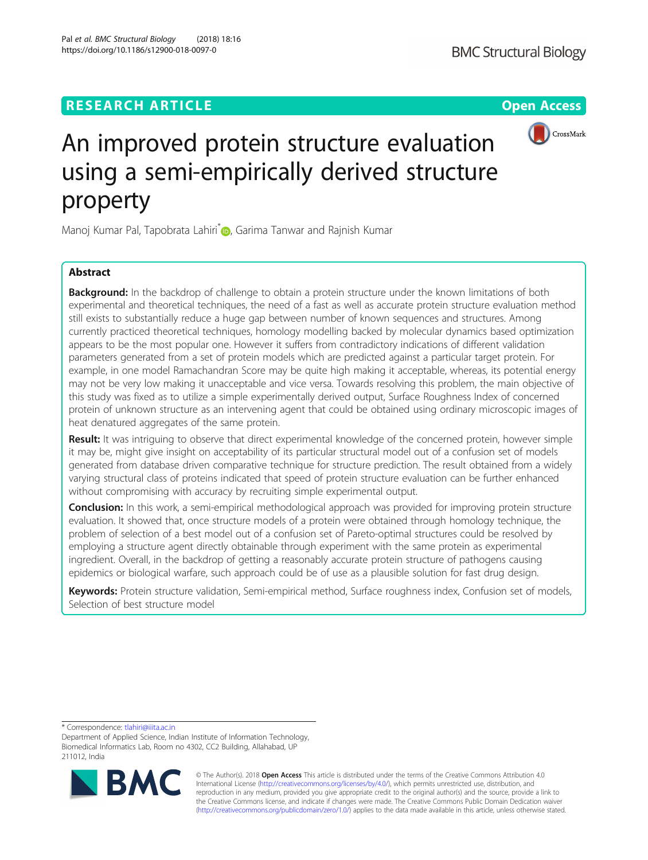Pal et al. BMC Structural Biology (2018) 18:16 https://doi.org/10.1186/s12900-018-0097-0



# An improved protein structure evaluation using a semi-empirically derived structure property

Manoj Kumar Pal[,](http://orcid.org/0000-0002-0290-4201) Tapobrata Lahiri<sup>\*</sup> , Garima Tanwar and Rajnish Kumar

# Abstract

**Background:** In the backdrop of challenge to obtain a protein structure under the known limitations of both experimental and theoretical techniques, the need of a fast as well as accurate protein structure evaluation method still exists to substantially reduce a huge gap between number of known sequences and structures. Among currently practiced theoretical techniques, homology modelling backed by molecular dynamics based optimization appears to be the most popular one. However it suffers from contradictory indications of different validation parameters generated from a set of protein models which are predicted against a particular target protein. For example, in one model Ramachandran Score may be quite high making it acceptable, whereas, its potential energy may not be very low making it unacceptable and vice versa. Towards resolving this problem, the main objective of this study was fixed as to utilize a simple experimentally derived output, Surface Roughness Index of concerned protein of unknown structure as an intervening agent that could be obtained using ordinary microscopic images of heat denatured aggregates of the same protein.

Result: It was intriguing to observe that direct experimental knowledge of the concerned protein, however simple it may be, might give insight on acceptability of its particular structural model out of a confusion set of models generated from database driven comparative technique for structure prediction. The result obtained from a widely varying structural class of proteins indicated that speed of protein structure evaluation can be further enhanced without compromising with accuracy by recruiting simple experimental output.

**Conclusion:** In this work, a semi-empirical methodological approach was provided for improving protein structure evaluation. It showed that, once structure models of a protein were obtained through homology technique, the problem of selection of a best model out of a confusion set of Pareto-optimal structures could be resolved by employing a structure agent directly obtainable through experiment with the same protein as experimental ingredient. Overall, in the backdrop of getting a reasonably accurate protein structure of pathogens causing epidemics or biological warfare, such approach could be of use as a plausible solution for fast drug design.

Keywords: Protein structure validation, Semi-empirical method, Surface roughness index, Confusion set of models, Selection of best structure model

\* Correspondence: [tlahiri@iiita.ac.in](mailto:tlahiri@iiita.ac.in)

Department of Applied Science, Indian Institute of Information Technology, Biomedical Informatics Lab, Room no 4302, CC2 Building, Allahabad, UP 211012, India



© The Author(s). 2018 Open Access This article is distributed under the terms of the Creative Commons Attribution 4.0 International License [\(http://creativecommons.org/licenses/by/4.0/](http://creativecommons.org/licenses/by/4.0/)), which permits unrestricted use, distribution, and reproduction in any medium, provided you give appropriate credit to the original author(s) and the source, provide a link to the Creative Commons license, and indicate if changes were made. The Creative Commons Public Domain Dedication waiver [\(http://creativecommons.org/publicdomain/zero/1.0/](http://creativecommons.org/publicdomain/zero/1.0/)) applies to the data made available in this article, unless otherwise stated.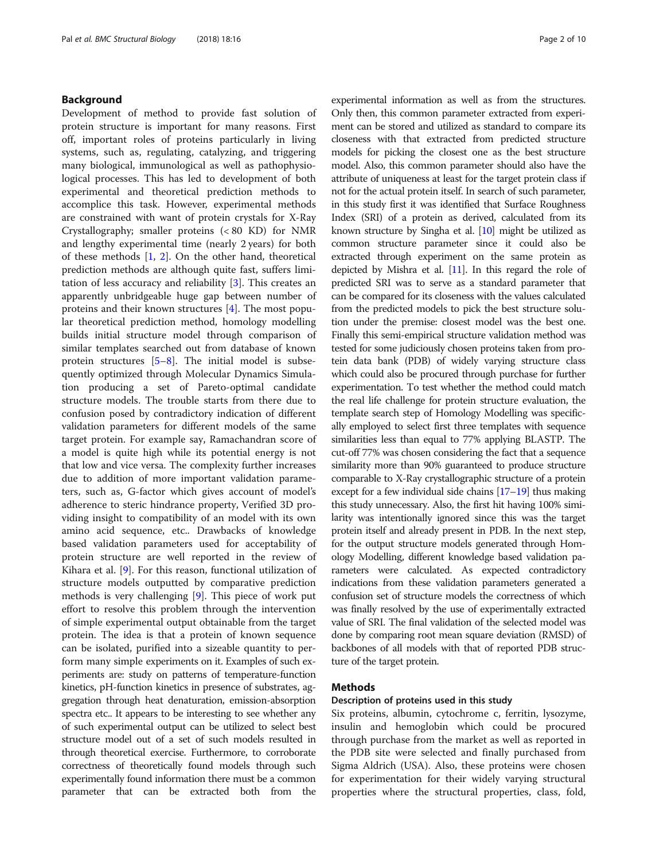# Background

Development of method to provide fast solution of protein structure is important for many reasons. First off, important roles of proteins particularly in living systems, such as, regulating, catalyzing, and triggering many biological, immunological as well as pathophysiological processes. This has led to development of both experimental and theoretical prediction methods to accomplice this task. However, experimental methods are constrained with want of protein crystals for X-Ray Crystallography; smaller proteins (< 80 KD) for NMR and lengthy experimental time (nearly 2 years) for both of these methods  $[1, 2]$  $[1, 2]$  $[1, 2]$ . On the other hand, theoretical prediction methods are although quite fast, suffers limitation of less accuracy and reliability [\[3](#page-9-0)]. This creates an apparently unbridgeable huge gap between number of proteins and their known structures [[4](#page-9-0)]. The most popular theoretical prediction method, homology modelling builds initial structure model through comparison of similar templates searched out from database of known protein structures  $[5-8]$  $[5-8]$  $[5-8]$ . The initial model is subsequently optimized through Molecular Dynamics Simulation producing a set of Pareto-optimal candidate structure models. The trouble starts from there due to confusion posed by contradictory indication of different validation parameters for different models of the same target protein. For example say, Ramachandran score of a model is quite high while its potential energy is not that low and vice versa. The complexity further increases due to addition of more important validation parameters, such as, G-factor which gives account of model's adherence to steric hindrance property, Verified 3D providing insight to compatibility of an model with its own amino acid sequence, etc.. Drawbacks of knowledge based validation parameters used for acceptability of protein structure are well reported in the review of Kihara et al. [[9\]](#page-9-0). For this reason, functional utilization of structure models outputted by comparative prediction methods is very challenging [[9\]](#page-9-0). This piece of work put effort to resolve this problem through the intervention of simple experimental output obtainable from the target protein. The idea is that a protein of known sequence can be isolated, purified into a sizeable quantity to perform many simple experiments on it. Examples of such experiments are: study on patterns of temperature-function kinetics, pH-function kinetics in presence of substrates, aggregation through heat denaturation, emission-absorption spectra etc.. It appears to be interesting to see whether any of such experimental output can be utilized to select best structure model out of a set of such models resulted in through theoretical exercise. Furthermore, to corroborate correctness of theoretically found models through such experimentally found information there must be a common parameter that can be extracted both from the

experimental information as well as from the structures. Only then, this common parameter extracted from experiment can be stored and utilized as standard to compare its closeness with that extracted from predicted structure models for picking the closest one as the best structure model. Also, this common parameter should also have the attribute of uniqueness at least for the target protein class if not for the actual protein itself. In search of such parameter, in this study first it was identified that Surface Roughness Index (SRI) of a protein as derived, calculated from its known structure by Singha et al. [[10](#page-9-0)] might be utilized as common structure parameter since it could also be extracted through experiment on the same protein as depicted by Mishra et al. [\[11\]](#page-9-0). In this regard the role of predicted SRI was to serve as a standard parameter that can be compared for its closeness with the values calculated from the predicted models to pick the best structure solution under the premise: closest model was the best one. Finally this semi-empirical structure validation method was tested for some judiciously chosen proteins taken from protein data bank (PDB) of widely varying structure class which could also be procured through purchase for further experimentation. To test whether the method could match the real life challenge for protein structure evaluation, the template search step of Homology Modelling was specifically employed to select first three templates with sequence similarities less than equal to 77% applying BLASTP. The cut-off 77% was chosen considering the fact that a sequence similarity more than 90% guaranteed to produce structure comparable to X-Ray crystallographic structure of a protein except for a few individual side chains [\[17](#page-9-0)–[19](#page-9-0)] thus making this study unnecessary. Also, the first hit having 100% similarity was intentionally ignored since this was the target protein itself and already present in PDB. In the next step, for the output structure models generated through Homology Modelling, different knowledge based validation parameters were calculated. As expected contradictory indications from these validation parameters generated a confusion set of structure models the correctness of which was finally resolved by the use of experimentally extracted value of SRI. The final validation of the selected model was done by comparing root mean square deviation (RMSD) of backbones of all models with that of reported PDB structure of the target protein.

# Methods

# Description of proteins used in this study

Six proteins, albumin, cytochrome c, ferritin, lysozyme, insulin and hemoglobin which could be procured through purchase from the market as well as reported in the PDB site were selected and finally purchased from Sigma Aldrich (USA). Also, these proteins were chosen for experimentation for their widely varying structural properties where the structural properties, class, fold,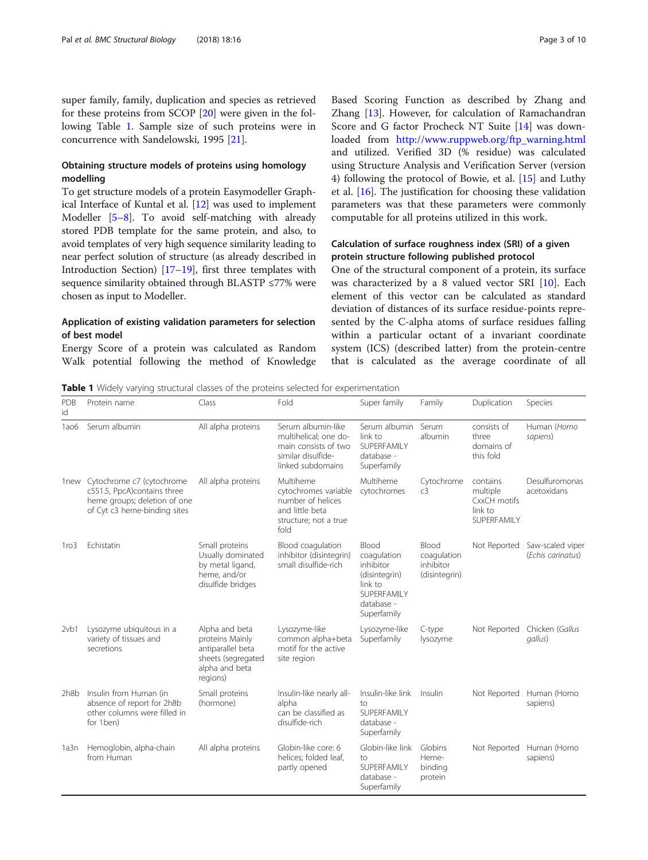<span id="page-2-0"></span>super family, family, duplication and species as retrieved for these proteins from SCOP [\[20\]](#page-9-0) were given in the following Table 1. Sample size of such proteins were in concurrence with Sandelowski, 1995 [\[21\]](#page-9-0).

# Obtaining structure models of proteins using homology modelling

To get structure models of a protein Easymodeller Graphical Interface of Kuntal et al. [[12](#page-9-0)] was used to implement Modeller [[5](#page-9-0)–[8](#page-9-0)]. To avoid self-matching with already stored PDB template for the same protein, and also, to avoid templates of very high sequence similarity leading to near perfect solution of structure (as already described in Introduction Section) [\[17](#page-9-0)–[19\]](#page-9-0), first three templates with sequence similarity obtained through BLASTP ≤77% were chosen as input to Modeller.

# Application of existing validation parameters for selection of best model

Energy Score of a protein was calculated as Random Walk potential following the method of Knowledge

Based Scoring Function as described by Zhang and Zhang [\[13](#page-9-0)]. However, for calculation of Ramachandran Score and G factor Procheck NT Suite [\[14](#page-9-0)] was downloaded from [http://www.ruppweb.org/ftp\\_warning.html](http://www.ruppweb.org/ftp_warning.html) and utilized. Verified 3D (% residue) was calculated using Structure Analysis and Verification Server (version 4) following the protocol of Bowie, et al. [[15\]](#page-9-0) and Luthy et al. [\[16\]](#page-9-0). The justification for choosing these validation parameters was that these parameters were commonly computable for all proteins utilized in this work.

# Calculation of surface roughness index (SRI) of a given protein structure following published protocol

One of the structural component of a protein, its surface was characterized by a 8 valued vector SRI [\[10\]](#page-9-0). Each element of this vector can be calculated as standard deviation of distances of its surface residue-points represented by the C-alpha atoms of surface residues falling within a particular octant of a invariant coordinate system (ICS) (described latter) from the protein-centre that is calculated as the average coordinate of all

Table 1 Widely varying structural classes of the proteins selected for experimentation

| PDB<br>id        | Protein name                                                                                                             | Class                                                                                                      | Fold                                                                                                           | Super family                                                                                              | Family                                             | Duplication                                                    | Species                               |
|------------------|--------------------------------------------------------------------------------------------------------------------------|------------------------------------------------------------------------------------------------------------|----------------------------------------------------------------------------------------------------------------|-----------------------------------------------------------------------------------------------------------|----------------------------------------------------|----------------------------------------------------------------|---------------------------------------|
| 1a <sub>06</sub> | Serum albumin                                                                                                            | All alpha proteins                                                                                         | Serum albumin-like<br>multihelical: one do-<br>main consists of two<br>similar disulfide-<br>linked subdomains | Serum albumin<br>link to<br>SUPERFAMILY<br>database -<br>Superfamily                                      | Serum<br>albumin                                   | consists of<br>three<br>domains of<br>this fold                | Human (Homo<br>sapiens)               |
| 1 <sub>new</sub> | Cytochrome c7 (cytochrome<br>c551.5, PpcA)contains three<br>heme groups; deletion of one<br>of Cyt c3 heme-binding sites | All alpha proteins                                                                                         | Multiheme<br>cytochromes variable<br>number of helices<br>and little beta<br>structure; not a true<br>fold     | Multiheme<br>cytochromes                                                                                  | Cytochrome<br>C <sub>3</sub>                       | contains<br>multiple<br>CxxCH motifs<br>link to<br>SUPERFAMILY | Desulfuromonas<br>acetoxidans         |
| 1 <sub>ro3</sub> | Echistatin                                                                                                               | Small proteins<br>Usually dominated<br>by metal ligand,<br>heme, and/or<br>disulfide bridges               | Blood coagulation<br>inhibitor (disintegrin)<br>small disulfide-rich                                           | Blood<br>coagulation<br>inhibitor<br>(disintegrin)<br>link to<br>SUPERFAMILY<br>database -<br>Superfamily | Blood<br>coagulation<br>inhibitor<br>(disintegrin) | Not Reported                                                   | Saw-scaled viper<br>(Echis carinatus) |
| $2$ vb1          | Lysozyme ubiquitous in a<br>variety of tissues and<br>secretions                                                         | Alpha and beta<br>proteins Mainly<br>antiparallel beta<br>sheets (segregated<br>alpha and beta<br>regions) | Lysozyme-like<br>common alpha+beta<br>motif for the active<br>site region                                      | Lysozyme-like<br>Superfamily                                                                              | C-type<br>lysozyme                                 | Not Reported                                                   | Chicken (Gallus<br>gallus)            |
| 2h8b             | Insulin from Human (in<br>absence of report for 2h8b<br>other columns were filled in<br>for 1ben)                        | Small proteins<br>(hormone)                                                                                | Insulin-like nearly all-<br>alpha<br>can be classified as<br>disulfide-rich                                    | Insulin-like link<br>to<br>SUPERFAMILY<br>database -<br>Superfamily                                       | Insulin                                            | Not Reported                                                   | Human (Homo<br>sapiens)               |
| 1a3n             | Hemoglobin, alpha-chain<br>from Human                                                                                    | All alpha proteins                                                                                         | Globin-like core: 6<br>helices; folded leaf,<br>partly opened                                                  | Globin-like link<br>to<br>SUPERFAMILY<br>database -<br>Superfamily                                        | Globins<br>Heme-<br>binding<br>protein             | Not Reported                                                   | Human (Homo<br>sapiens)               |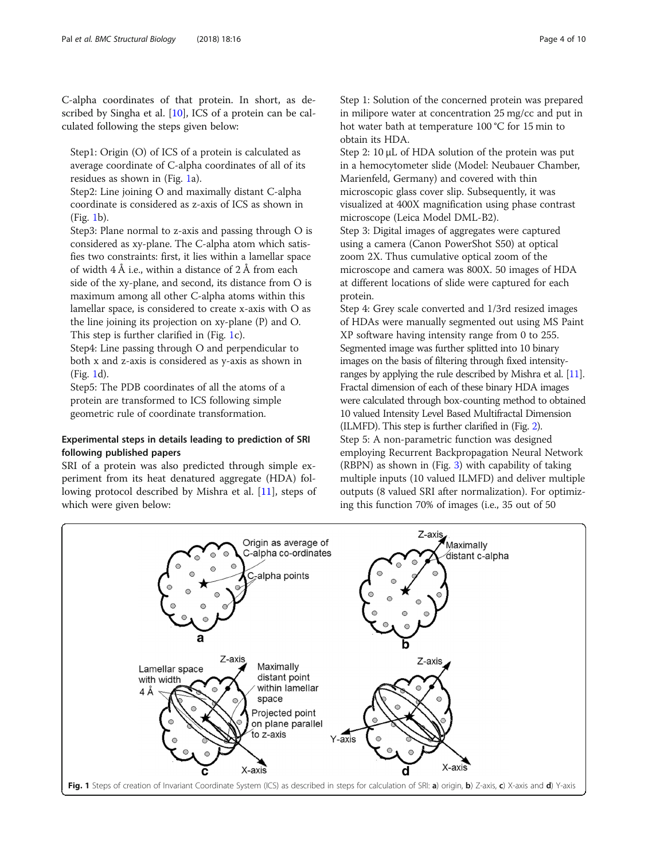C-alpha coordinates of that protein. In short, as described by Singha et al. [\[10\]](#page-9-0), ICS of a protein can be calculated following the steps given below:

Step1: Origin (O) of ICS of a protein is calculated as average coordinate of C-alpha coordinates of all of its residues as shown in (Fig. 1a).

Step2: Line joining O and maximally distant C-alpha coordinate is considered as z-axis of ICS as shown in (Fig. 1b).

Step3: Plane normal to z-axis and passing through O is considered as xy-plane. The C-alpha atom which satisfies two constraints: first, it lies within a lamellar space of width 4 Å i.e., within a distance of 2 Å from each side of the xy-plane, and second, its distance from O is maximum among all other C-alpha atoms within this lamellar space, is considered to create x-axis with O as the line joining its projection on xy-plane (P) and O. This step is further clarified in (Fig. 1c).

Step4: Line passing through O and perpendicular to both x and z-axis is considered as y-axis as shown in (Fig. 1d).

Step5: The PDB coordinates of all the atoms of a protein are transformed to ICS following simple geometric rule of coordinate transformation.

# Experimental steps in details leading to prediction of SRI following published papers

SRI of a protein was also predicted through simple experiment from its heat denatured aggregate (HDA) following protocol described by Mishra et al. [[11\]](#page-9-0), steps of which were given below:

Step 1: Solution of the concerned protein was prepared in milipore water at concentration 25 mg/cc and put in hot water bath at temperature 100 °C for 15 min to obtain its HDA.

Step 2: 10 μL of HDA solution of the protein was put in a hemocytometer slide (Model: Neubauer Chamber, Marienfeld, Germany) and covered with thin microscopic glass cover slip. Subsequently, it was visualized at 400X magnification using phase contrast microscope (Leica Model DML-B2).

Step 3: Digital images of aggregates were captured using a camera (Canon PowerShot S50) at optical zoom 2X. Thus cumulative optical zoom of the microscope and camera was 800X. 50 images of HDA at different locations of slide were captured for each protein.

Step 4: Grey scale converted and 1/3rd resized images of HDAs were manually segmented out using MS Paint XP software having intensity range from 0 to 255. Segmented image was further splitted into 10 binary images on the basis of filtering through fixed intensityranges by applying the rule described by Mishra et al. [\[11\]](#page-9-0). Fractal dimension of each of these binary HDA images were calculated through box-counting method to obtained 10 valued Intensity Level Based Multifractal Dimension (ILMFD). This step is further clarified in (Fig. [2\)](#page-4-0). Step 5: A non-parametric function was designed employing Recurrent Backpropagation Neural Network (RBPN) as shown in (Fig. [3](#page-4-0)) with capability of taking multiple inputs (10 valued ILMFD) and deliver multiple outputs (8 valued SRI after normalization). For optimizing this function 70% of images (i.e., 35 out of 50

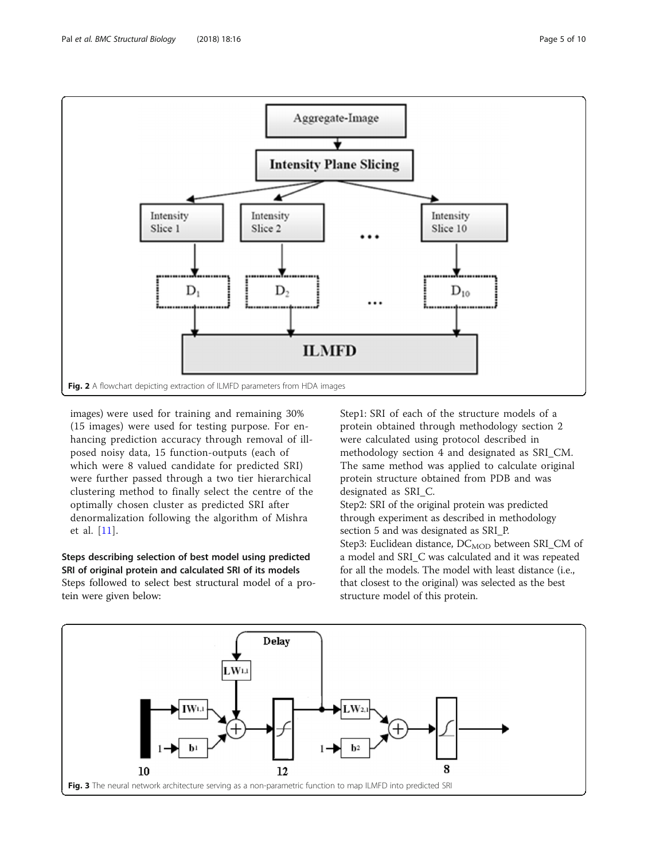<span id="page-4-0"></span>

images) were used for training and remaining 30% (15 images) were used for testing purpose. For enhancing prediction accuracy through removal of illposed noisy data, 15 function-outputs (each of which were 8 valued candidate for predicted SRI) were further passed through a two tier hierarchical clustering method to finally select the centre of the optimally chosen cluster as predicted SRI after denormalization following the algorithm of Mishra et al. [\[11](#page-9-0)].

Steps describing selection of best model using predicted SRI of original protein and calculated SRI of its models Steps followed to select best structural model of a protein were given below:

Step1: SRI of each of the structure models of a protein obtained through methodology section 2 were calculated using protocol described in methodology section 4 and designated as SRI\_CM. The same method was applied to calculate original protein structure obtained from PDB and was designated as SRI\_C.

Step2: SRI of the original protein was predicted through experiment as described in methodology section 5 and was designated as SRI\_P. Step3: Euclidean distance,  $DC<sub>MOD</sub>$  between SRI\_CM of a model and SRI\_C was calculated and it was repeated for all the models. The model with least distance (i.e., that closest to the original) was selected as the best structure model of this protein.

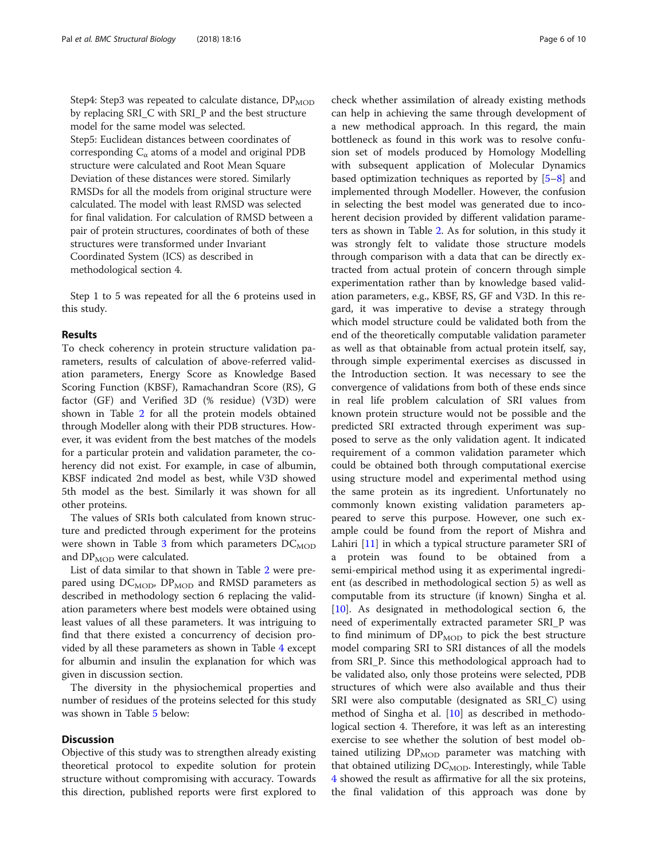Step4: Step3 was repeated to calculate distance,  $DP_{MOD}$ by replacing SRI\_C with SRI\_P and the best structure model for the same model was selected. Step5: Euclidean distances between coordinates of corresponding  $C_{\alpha}$  atoms of a model and original PDB structure were calculated and Root Mean Square Deviation of these distances were stored. Similarly RMSDs for all the models from original structure were calculated. The model with least RMSD was selected for final validation. For calculation of RMSD between a pair of protein structures, coordinates of both of these structures were transformed under Invariant Coordinated System (ICS) as described in methodological section 4.

Step 1 to 5 was repeated for all the 6 proteins used in this study.

#### Results

To check coherency in protein structure validation parameters, results of calculation of above-referred validation parameters, Energy Score as Knowledge Based Scoring Function (KBSF), Ramachandran Score (RS), G factor (GF) and Verified 3D (% residue) (V3D) were shown in Table [2](#page-6-0) for all the protein models obtained through Modeller along with their PDB structures. However, it was evident from the best matches of the models for a particular protein and validation parameter, the coherency did not exist. For example, in case of albumin, KBSF indicated 2nd model as best, while V3D showed 5th model as the best. Similarly it was shown for all other proteins.

The values of SRIs both calculated from known structure and predicted through experiment for the proteins were shown in Table [3](#page-7-0) from which parameters  $DC<sub>MOD</sub>$ and  $DP<sub>MOD</sub>$  were calculated.

List of data similar to that shown in Table [2](#page-6-0) were prepared using  $DC<sub>MOD</sub>$ ,  $DP<sub>MOD</sub>$  and RMSD parameters as described in methodology section 6 replacing the validation parameters where best models were obtained using least values of all these parameters. It was intriguing to find that there existed a concurrency of decision provided by all these parameters as shown in Table [4](#page-8-0) except for albumin and insulin the explanation for which was given in discussion section.

The diversity in the physiochemical properties and number of residues of the proteins selected for this study was shown in Table [5](#page-8-0) below:

# **Discussion**

Objective of this study was to strengthen already existing theoretical protocol to expedite solution for protein structure without compromising with accuracy. Towards this direction, published reports were first explored to

check whether assimilation of already existing methods can help in achieving the same through development of a new methodical approach. In this regard, the main bottleneck as found in this work was to resolve confusion set of models produced by Homology Modelling with subsequent application of Molecular Dynamics based optimization techniques as reported by [\[5](#page-9-0)–[8\]](#page-9-0) and implemented through Modeller. However, the confusion in selecting the best model was generated due to incoherent decision provided by different validation parameters as shown in Table [2.](#page-6-0) As for solution, in this study it was strongly felt to validate those structure models through comparison with a data that can be directly extracted from actual protein of concern through simple experimentation rather than by knowledge based validation parameters, e.g., KBSF, RS, GF and V3D. In this regard, it was imperative to devise a strategy through which model structure could be validated both from the end of the theoretically computable validation parameter as well as that obtainable from actual protein itself, say, through simple experimental exercises as discussed in the Introduction section. It was necessary to see the convergence of validations from both of these ends since in real life problem calculation of SRI values from known protein structure would not be possible and the predicted SRI extracted through experiment was supposed to serve as the only validation agent. It indicated requirement of a common validation parameter which could be obtained both through computational exercise using structure model and experimental method using the same protein as its ingredient. Unfortunately no commonly known existing validation parameters appeared to serve this purpose. However, one such example could be found from the report of Mishra and Lahiri [\[11](#page-9-0)] in which a typical structure parameter SRI of a protein was found to be obtained from a semi-empirical method using it as experimental ingredient (as described in methodological section 5) as well as computable from its structure (if known) Singha et al. [[10\]](#page-9-0). As designated in methodological section 6, the need of experimentally extracted parameter SRI\_P was to find minimum of  $DP<sub>MOD</sub>$  to pick the best structure model comparing SRI to SRI distances of all the models from SRI\_P. Since this methodological approach had to be validated also, only those proteins were selected, PDB structures of which were also available and thus their SRI were also computable (designated as SRI\_C) using method of Singha et al.  $[10]$  as described in methodological section 4. Therefore, it was left as an interesting exercise to see whether the solution of best model obtained utilizing  $DP<sub>MOD</sub>$  parameter was matching with that obtained utilizing  $DC<sub>MOD</sub>$ . Interestingly, while Table [4](#page-8-0) showed the result as affirmative for all the six proteins, the final validation of this approach was done by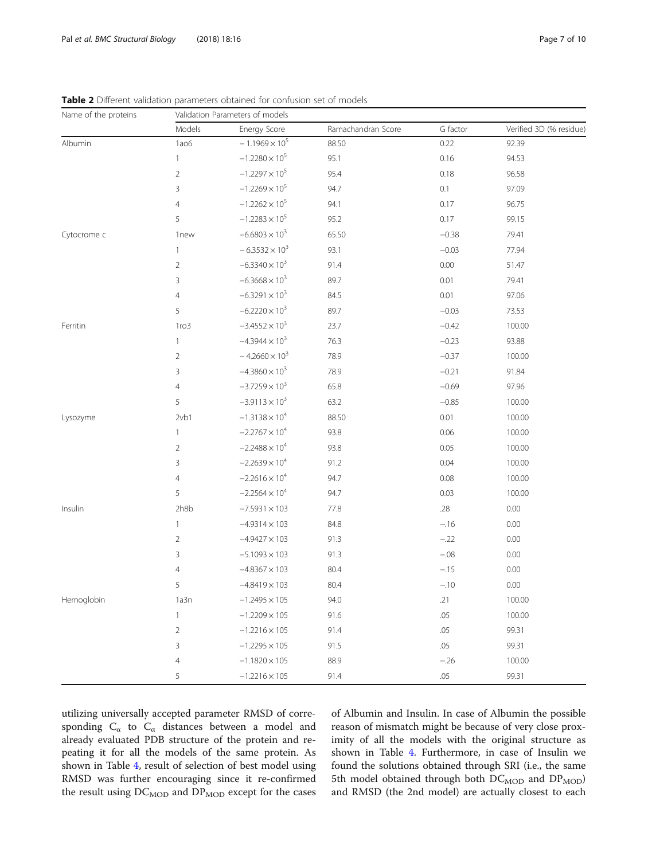| Name of the proteins | Validation Parameters of models |                         |                    |          |                         |  |  |  |
|----------------------|---------------------------------|-------------------------|--------------------|----------|-------------------------|--|--|--|
|                      | Models                          | Energy Score            | Ramachandran Score | G factor | Verified 3D (% residue) |  |  |  |
| Albumin              | 1a <sub>06</sub>                | $-1.1969 \times 10^{5}$ | 88.50              | 0.22     | 92.39                   |  |  |  |
|                      | $\mathbf{1}$                    | $-1.2280 \times 10^{5}$ | 95.1               | 0.16     | 94.53                   |  |  |  |
|                      | $\sqrt{2}$                      | $-1.2297 \times 10^{5}$ | 95.4               | 0.18     | 96.58                   |  |  |  |
|                      | 3                               | $-1.2269 \times 10^{5}$ | 94.7               | 0.1      | 97.09                   |  |  |  |
|                      | 4                               | $-1.2262 \times 10^{5}$ | 94.1               | 0.17     | 96.75                   |  |  |  |
|                      | 5                               | $-1.2283 \times 10^{5}$ | 95.2               | 0.17     | 99.15                   |  |  |  |
| Cytocrome c          | 1new                            | $-6.6803 \times 10^{3}$ | 65.50              | $-0.38$  | 79.41                   |  |  |  |
|                      | 1                               | $-6.3532 \times 10^{3}$ | 93.1               | $-0.03$  | 77.94                   |  |  |  |
|                      | $\sqrt{2}$                      | $-6.3340 \times 10^{3}$ | 91.4               | 0.00     | 51.47                   |  |  |  |
|                      | 3                               | $-6.3668 \times 10^{3}$ | 89.7               | 0.01     | 79.41                   |  |  |  |
|                      | 4                               | $-6.3291 \times 10^{3}$ | 84.5               | 0.01     | 97.06                   |  |  |  |
|                      | 5                               | $-6.2220 \times 10^{3}$ | 89.7               | $-0.03$  | 73.53                   |  |  |  |
| Ferritin             | 1 <sub>ro3</sub>                | $-3.4552 \times 10^{3}$ | 23.7               | $-0.42$  | 100.00                  |  |  |  |
|                      | $\mathbf{1}$                    | $-4.3944 \times 10^{3}$ | 76.3               | $-0.23$  | 93.88                   |  |  |  |
|                      | $\sqrt{2}$                      | $-4.2660 \times 10^{3}$ | 78.9               | $-0.37$  | 100.00                  |  |  |  |
|                      | 3                               | $-4.3860 \times 10^{3}$ | 78.9               | $-0.21$  | 91.84                   |  |  |  |
|                      | 4                               | $-3.7259 \times 10^{3}$ | 65.8               | $-0.69$  | 97.96                   |  |  |  |
|                      | 5                               | $-3.9113 \times 10^{3}$ | 63.2               | $-0.85$  | 100.00                  |  |  |  |
| Lysozyme             | 2vb1                            | $-1.3138 \times 10^{4}$ | 88.50              | 0.01     | 100.00                  |  |  |  |
|                      | $\mathbf{1}$                    | $-2.2767 \times 10^4$   | 93.8               | 0.06     | 100.00                  |  |  |  |
|                      | $\sqrt{2}$                      | $-2.2488 \times 10^4$   | 93.8               | 0.05     | 100.00                  |  |  |  |
|                      | 3                               | $-2.2639 \times 10^{4}$ | 91.2               | 0.04     | 100.00                  |  |  |  |
|                      | 4                               | $-2.2616 \times 10^{4}$ | 94.7               | 0.08     | 100.00                  |  |  |  |
|                      | 5                               | $-2.2564 \times 10^{4}$ | 94.7               | 0.03     | 100.00                  |  |  |  |
| Insulin              | 2h8b                            | $-7.5931 \times 103$    | 77.8               | .28      | 0.00                    |  |  |  |
|                      | $\mathbf{1}$                    | $-4.9314 \times 103$    | 84.8               | $-.16$   | 0.00                    |  |  |  |
|                      | $\overline{2}$                  | $-4.9427 \times 103$    | 91.3               | $-.22$   | 0.00                    |  |  |  |
|                      | 3                               | $-5.1093 \times 103$    | 91.3               | $-.08$   | 0.00                    |  |  |  |
|                      | 4                               | $-4.8367 \times 103$    | 80.4               | $-.15$   | 0.00                    |  |  |  |
|                      | 5                               | $-4.8419 \times 103$    | 80.4               | $-.10$   | 0.00                    |  |  |  |
| Hemoglobin           | 1a3n                            | $-1.2495 \times 105$    | 94.0               | .21      | 100.00                  |  |  |  |
|                      | $\mathbf{1}$                    | $-1.2209 \times 105$    | 91.6               | .05      | 100.00                  |  |  |  |
|                      | $\sqrt{2}$                      | $-1.2216 \times 105$    | 91.4               | .05      | 99.31                   |  |  |  |
|                      | 3                               | $-1.2295 \times 105$    | 91.5               | .05      | 99.31                   |  |  |  |
|                      | 4                               | $-1.1820 \times 105$    | 88.9               | $-.26$   | 100.00                  |  |  |  |
|                      | 5                               | $-1.2216 \times 105$    | 91.4               | .05      | 99.31                   |  |  |  |
|                      |                                 |                         |                    |          |                         |  |  |  |

<span id="page-6-0"></span>Table 2 Different validation parameters obtained for confusion set of models

utilizing universally accepted parameter RMSD of corresponding  $C_{\alpha}$  to  $C_{\alpha}$  distances between a model and already evaluated PDB structure of the protein and repeating it for all the models of the same protein. As shown in Table [4,](#page-8-0) result of selection of best model using RMSD was further encouraging since it re-confirmed the result using  $\rm DC_{MOD}$  and  $\rm DP_{MOD}$  except for the cases of Albumin and Insulin. In case of Albumin the possible reason of mismatch might be because of very close proximity of all the models with the original structure as shown in Table [4.](#page-8-0) Furthermore, in case of Insulin we found the solutions obtained through SRI (i.e., the same 5th model obtained through both  $DC<sub>MOD</sub>$  and  $DP<sub>MOD</sub>$ and RMSD (the 2nd model) are actually closest to each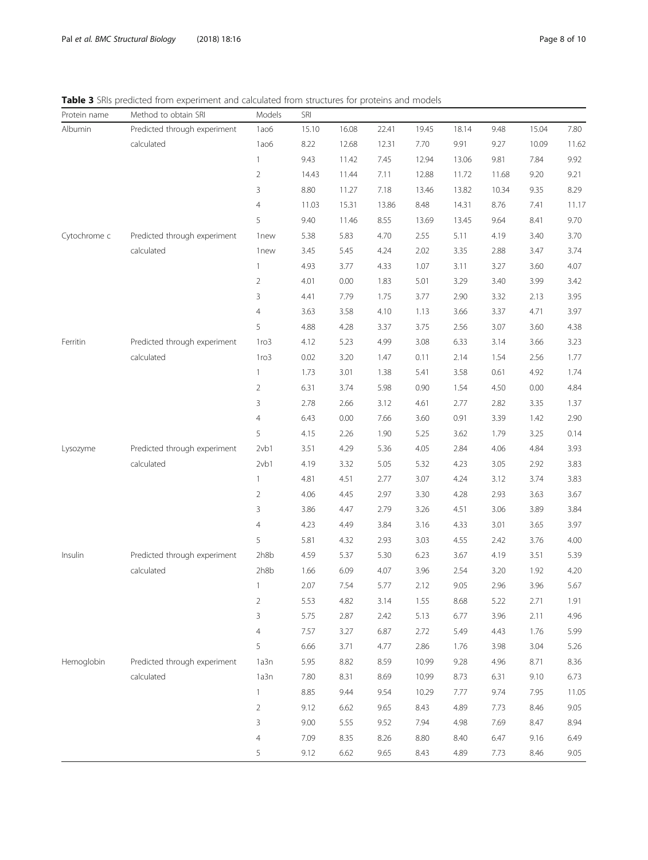<span id="page-7-0"></span>Table 3 SRIs predicted from experiment and calculated from structures for proteins and models

| Protein name | Method to obtain SRI         | Models           | SRI   |       |       |       |       |       |       |       |
|--------------|------------------------------|------------------|-------|-------|-------|-------|-------|-------|-------|-------|
| Albumin      | Predicted through experiment | 1a <sub>06</sub> | 15.10 | 16.08 | 22.41 | 19.45 | 18.14 | 9.48  | 15.04 | 7.80  |
|              | calculated                   | 1a <sub>06</sub> | 8.22  | 12.68 | 12.31 | 7.70  | 9.91  | 9.27  | 10.09 | 11.62 |
|              |                              | $\mathbf{1}$     | 9.43  | 11.42 | 7.45  | 12.94 | 13.06 | 9.81  | 7.84  | 9.92  |
|              |                              | $\sqrt{2}$       | 14.43 | 11.44 | 7.11  | 12.88 | 11.72 | 11.68 | 9.20  | 9.21  |
|              |                              | 3                | 8.80  | 11.27 | 7.18  | 13.46 | 13.82 | 10.34 | 9.35  | 8.29  |
|              |                              | $\overline{4}$   | 11.03 | 15.31 | 13.86 | 8.48  | 14.31 | 8.76  | 7.41  | 11.17 |
|              |                              | 5                | 9.40  | 11.46 | 8.55  | 13.69 | 13.45 | 9.64  | 8.41  | 9.70  |
| Cytochrome c | Predicted through experiment | 1new             | 5.38  | 5.83  | 4.70  | 2.55  | 5.11  | 4.19  | 3.40  | 3.70  |
|              | calculated                   | 1new             | 3.45  | 5.45  | 4.24  | 2.02  | 3.35  | 2.88  | 3.47  | 3.74  |
|              |                              | $\mathbf{1}$     | 4.93  | 3.77  | 4.33  | 1.07  | 3.11  | 3.27  | 3.60  | 4.07  |
|              |                              | $\overline{2}$   | 4.01  | 0.00  | 1.83  | 5.01  | 3.29  | 3.40  | 3.99  | 3.42  |
|              |                              | 3                | 4.41  | 7.79  | 1.75  | 3.77  | 2.90  | 3.32  | 2.13  | 3.95  |
|              |                              | $\overline{4}$   | 3.63  | 3.58  | 4.10  | 1.13  | 3.66  | 3.37  | 4.71  | 3.97  |
|              |                              | 5                | 4.88  | 4.28  | 3.37  | 3.75  | 2.56  | 3.07  | 3.60  | 4.38  |
| Ferritin     | Predicted through experiment | 1 <sub>ro3</sub> | 4.12  | 5.23  | 4.99  | 3.08  | 6.33  | 3.14  | 3.66  | 3.23  |
|              | calculated                   | 1 <sub>ro3</sub> | 0.02  | 3.20  | 1.47  | 0.11  | 2.14  | 1.54  | 2.56  | 1.77  |
|              |                              | $\mathbf{1}$     | 1.73  | 3.01  | 1.38  | 5.41  | 3.58  | 0.61  | 4.92  | 1.74  |
|              |                              | $\overline{2}$   | 6.31  | 3.74  | 5.98  | 0.90  | 1.54  | 4.50  | 0.00  | 4.84  |
|              |                              | 3                | 2.78  | 2.66  | 3.12  | 4.61  | 2.77  | 2.82  | 3.35  | 1.37  |
|              |                              | $\overline{4}$   | 6.43  | 0.00  | 7.66  | 3.60  | 0.91  | 3.39  | 1.42  | 2.90  |
|              |                              | 5                | 4.15  | 2.26  | 1.90  | 5.25  | 3.62  | 1.79  | 3.25  | 0.14  |
| Lysozyme     | Predicted through experiment | 2vb1             | 3.51  | 4.29  | 5.36  | 4.05  | 2.84  | 4.06  | 4.84  | 3.93  |
|              | calculated                   | 2vb1             | 4.19  | 3.32  | 5.05  | 5.32  | 4.23  | 3.05  | 2.92  | 3.83  |
|              |                              | 1                | 4.81  | 4.51  | 2.77  | 3.07  | 4.24  | 3.12  | 3.74  | 3.83  |
|              |                              | $\overline{2}$   | 4.06  | 4.45  | 2.97  | 3.30  | 4.28  | 2.93  | 3.63  | 3.67  |
|              |                              | 3                | 3.86  | 4.47  | 2.79  | 3.26  | 4.51  | 3.06  | 3.89  | 3.84  |
|              |                              | $\overline{4}$   | 4.23  | 4.49  | 3.84  | 3.16  | 4.33  | 3.01  | 3.65  | 3.97  |
|              |                              | 5                | 5.81  | 4.32  | 2.93  | 3.03  | 4.55  | 2.42  | 3.76  | 4.00  |
| Insulin      | Predicted through experiment | 2h8b             | 4.59  | 5.37  | 5.30  | 6.23  | 3.67  | 4.19  | 3.51  | 5.39  |
|              | calculated                   | 2h8b             | 1.66  | 6.09  | 4.07  | 3.96  | 2.54  | 3.20  | 1.92  | 4.20  |
|              |                              | 1                | 2.07  | 7.54  | 5.77  | 2.12  | 9.05  | 2.96  | 3.96  | 5.67  |
|              |                              | 2                | 5.53  | 4.82  | 3.14  | 1.55  | 8.68  | 5.22  | 2.71  | 1.91  |
|              |                              | 3                | 5.75  | 2.87  | 2.42  | 5.13  | 6.77  | 3.96  | 2.11  | 4.96  |
|              |                              | $\overline{4}$   | 7.57  | 3.27  | 6.87  | 2.72  | 5.49  | 4.43  | 1.76  | 5.99  |
|              |                              | 5                | 6.66  | 3.71  | 4.77  | 2.86  | 1.76  | 3.98  | 3.04  | 5.26  |
| Hemoglobin   | Predicted through experiment | 1a3n             | 5.95  | 8.82  | 8.59  | 10.99 | 9.28  | 4.96  | 8.71  | 8.36  |
|              | calculated                   | 1a3n             | 7.80  | 8.31  | 8.69  | 10.99 | 8.73  | 6.31  | 9.10  | 6.73  |
|              |                              | $\mathbf{1}$     | 8.85  | 9.44  | 9.54  | 10.29 | 7.77  | 9.74  | 7.95  | 11.05 |
|              |                              | $\overline{2}$   | 9.12  | 6.62  | 9.65  | 8.43  | 4.89  | 7.73  | 8.46  | 9.05  |
|              |                              | 3                | 9.00  | 5.55  | 9.52  | 7.94  | 4.98  | 7.69  | 8.47  | 8.94  |
|              |                              | $\overline{4}$   | 7.09  | 8.35  | 8.26  | 8.80  | 8.40  | 6.47  | 9.16  | 6.49  |
|              |                              | 5                | 9.12  | 6.62  | 9.65  | 8.43  | 4.89  | 7.73  | 8.46  | 9.05  |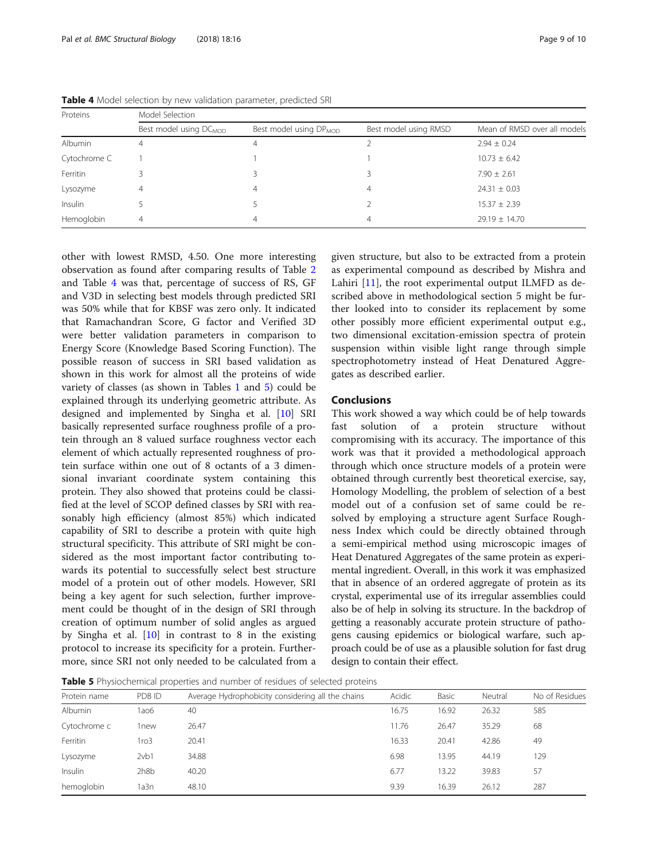| Proteins     | Model Selection                    |                                    |                       |                              |  |  |  |  |
|--------------|------------------------------------|------------------------------------|-----------------------|------------------------------|--|--|--|--|
|              | Best model using DC <sub>MOD</sub> | Best model using DP <sub>MOD</sub> | Best model using RMSD | Mean of RMSD over all models |  |  |  |  |
| Albumin      | 4                                  |                                    |                       | $2.94 \pm 0.24$              |  |  |  |  |
| Cytochrome C |                                    |                                    |                       | $10.73 \pm 6.42$             |  |  |  |  |
| Ferritin     |                                    |                                    |                       | $7.90 \pm 2.61$              |  |  |  |  |
| Lysozyme     | 4                                  | 4                                  | 4                     | $24.31 \pm 0.03$             |  |  |  |  |
| Insulin      |                                    |                                    |                       | $15.37 \pm 2.39$             |  |  |  |  |
| Hemoglobin   | 4                                  |                                    | 4                     | $29.19 \pm 14.70$            |  |  |  |  |

<span id="page-8-0"></span>Table 4 Model selection by new validation parameter, predicted SRI

other with lowest RMSD, 4.50. One more interesting observation as found after comparing results of Table [2](#page-6-0) and Table 4 was that, percentage of success of RS, GF and V3D in selecting best models through predicted SRI was 50% while that for KBSF was zero only. It indicated that Ramachandran Score, G factor and Verified 3D were better validation parameters in comparison to Energy Score (Knowledge Based Scoring Function). The possible reason of success in SRI based validation as shown in this work for almost all the proteins of wide variety of classes (as shown in Tables [1](#page-2-0) and 5) could be explained through its underlying geometric attribute. As designed and implemented by Singha et al. [[10](#page-9-0)] SRI basically represented surface roughness profile of a protein through an 8 valued surface roughness vector each element of which actually represented roughness of protein surface within one out of 8 octants of a 3 dimensional invariant coordinate system containing this protein. They also showed that proteins could be classified at the level of SCOP defined classes by SRI with reasonably high efficiency (almost 85%) which indicated capability of SRI to describe a protein with quite high structural specificity. This attribute of SRI might be considered as the most important factor contributing towards its potential to successfully select best structure model of a protein out of other models. However, SRI being a key agent for such selection, further improvement could be thought of in the design of SRI through creation of optimum number of solid angles as argued by Singha et al. [\[10](#page-9-0)] in contrast to 8 in the existing protocol to increase its specificity for a protein. Furthermore, since SRI not only needed to be calculated from a

given structure, but also to be extracted from a protein as experimental compound as described by Mishra and Lahiri [[11\]](#page-9-0), the root experimental output ILMFD as described above in methodological section 5 might be further looked into to consider its replacement by some other possibly more efficient experimental output e.g., two dimensional excitation-emission spectra of protein suspension within visible light range through simple spectrophotometry instead of Heat Denatured Aggregates as described earlier.

# Conclusions

This work showed a way which could be of help towards fast solution of a protein structure without compromising with its accuracy. The importance of this work was that it provided a methodological approach through which once structure models of a protein were obtained through currently best theoretical exercise, say, Homology Modelling, the problem of selection of a best model out of a confusion set of same could be resolved by employing a structure agent Surface Roughness Index which could be directly obtained through a semi-empirical method using microscopic images of Heat Denatured Aggregates of the same protein as experimental ingredient. Overall, in this work it was emphasized that in absence of an ordered aggregate of protein as its crystal, experimental use of its irregular assemblies could also be of help in solving its structure. In the backdrop of getting a reasonably accurate protein structure of pathogens causing epidemics or biological warfare, such approach could be of use as a plausible solution for fast drug design to contain their effect.

Table 5 Physiochemical properties and number of residues of selected proteins

| Protein name   | PDB ID            | Average Hydrophobicity considering all the chains | Acidic | Basic | Neutral | No of Residues |
|----------------|-------------------|---------------------------------------------------|--------|-------|---------|----------------|
| Albumin        | lao6              | 40                                                | 16.75  | 16.92 | 26.32   | 585            |
| Cytochrome c   | 1 new             | 26.47                                             | 11.76  | 26.47 | 35.29   | 68             |
| Ferritin       | 1ro3              | 20.41                                             | 16.33  | 20.41 | 42.86   | 49             |
| Lysozyme       | 2 <sub>v</sub> b1 | 34.88                                             | 6.98   | 13.95 | 44.19   | 129            |
| <b>Insulin</b> | 2h8b              | 40.20                                             | 6.77   | 13.22 | 39.83   | 57             |
| hemoglobin     | 1a3n              | 48.10                                             | 9.39   | 16.39 | 26.12   | 287            |